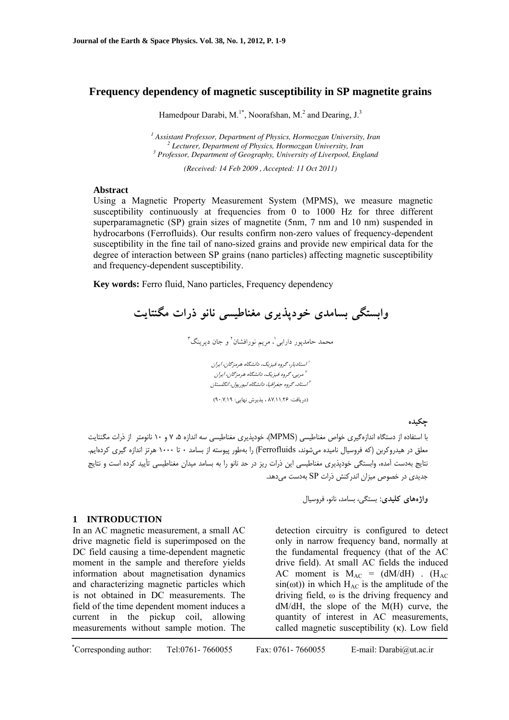# **Frequency dependency of magnetic susceptibility in SP magnetite grains**

Hamedpour Darabi, M.<sup>1\*</sup>, Noorafshan, M.<sup>2</sup> and Dearing,  $J<sup>3</sup>$ 

<sup>1</sup> Assistant Professor, Department of Physics, Hormozgan University, Iran <sup>2</sup> Legiunary Department of Physics, Hormozgan University, Iran <sup>2</sup> Lecturer, Department of Physics, Hormozgan University, Iran  *Professor, Department of Geography, University of Liverpool, England* 

*(Received: 14 Feb 2009 , Accepted: 11 Oct 2011)* 

### **Abstract**

Using a Magnetic Property Measurement System (MPMS), we measure magnetic susceptibility continuously at frequencies from 0 to 1000 Hz for three different superparamagnetic (SP) grain sizes of magnetite (5nm, 7 nm and 10 nm) suspended in hydrocarbons (Ferrofluids). Our results confirm non-zero values of frequency-dependent susceptibility in the fine tail of nano-sized grains and provide new empirical data for the degree of interaction between SP grains (nano particles) affecting magnetic susceptibility and frequency-dependent susceptibility.

**Key words:** Ferro fluid, Nano particles, Frequency dependency

**وابستگي بسامدي خودپذيري مغناطيسي نانو ذرات مگنتايت** 

محمد حامدپور دارابی'، مريم نورافشان<sup>۲</sup> و جان ديرينگ<sup>۳</sup>

استاديار، گروه فيزيك، دانشگاه هرمزگان، ايران <sup>1</sup> مربي، گروه فيزيك، دانشگاه هرمزگان، ايران <sup>2</sup> استاد، گروه جغرافيا، دانشگاه ليورپول، انگلستان <sup>3</sup>

(دريافت: 87/11/26 ، پذيرش نهايي: 90/7/19)

**چكيده** 

با استفاده از دستگاه اندازهگيري خواص مغناطيسي (MPMS(، خودپذيري مغناطيسي سه اندازه ،5 7 و 10 نانومتر از ذرات مگنتايت معلق در هيدروكربن (كه فروسيال ناميده ميشوند، Ferrofluids (را بهطور پيوسته از بسامد 0 تا 1000 هرتز اندازه گيري كردهايم. نتايج بهدست آمده، وابستگي خودپذيري مغناطيسي اين ذرات ريز در حد نانو را به بسامد ميدان مغناطيسي تأييد كرده است و نتايج جديدي در خصوص ميزان اندركنش ذرات SP بهدست ميدهد.

**واژههاي كليدي:** بستگي، بسامد، نانو، فروسيال

## **1 INTRODUCTION**

In an AC magnetic measurement, a small AC drive magnetic field is superimposed on the DC field causing a time-dependent magnetic moment in the sample and therefore yields information about magnetisation dynamics and characterizing magnetic particles which is not obtained in DC measurements. The field of the time dependent moment induces a current in the pickup coil, allowing measurements without sample motion. The detection circuitry is configured to detect only in narrow frequency band, normally at the fundamental frequency (that of the AC drive field). At small AC fields the induced AC moment is  $M_{AC} = (dM/dH)$ . (H<sub>AC</sub>  $sin(\omega t)$  in which  $H_{AC}$  is the amplitude of the driving field, ω is the driving frequency and dM/dH, the slope of the M(H) curve, the quantity of interest in AC measurements, called magnetic susceptibility (κ). Low field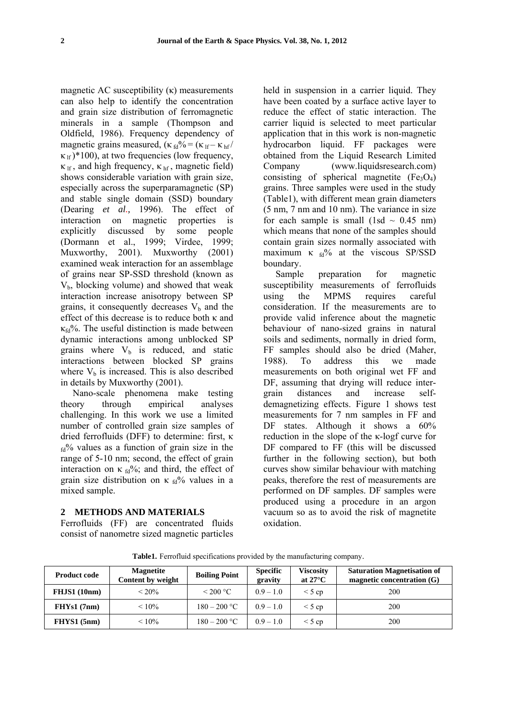magnetic AC susceptibility (κ) measurements can also help to identify the concentration and grain size distribution of ferromagnetic minerals in a sample (Thompson and Oldfield, 1986). Frequency dependency of magnetic grains measured, ( $\kappa_{\text{fd}}\% = (\kappa_{\text{lf}} - \kappa_{\text{hf}})$  $\kappa_{\text{lf}}$  )\*100), at two frequencies (low frequency,  $\kappa$ <sub>If</sub>, and high frequency,  $\kappa$ <sub>hf</sub>, magnetic field) shows considerable variation with grain size, especially across the superparamagnetic (SP) and stable single domain (SSD) boundary (Dearing *et al.,* 1996). The effect of interaction on magnetic properties is explicitly discussed by some people (Dormann et al., 1999; Virdee, 1999; Muxworthy, 2001). Muxworthy (2001) examined weak interaction for an assemblage of grains near SP-SSD threshold (known as  $V<sub>b</sub>$ , blocking volume) and showed that weak interaction increase anisotropy between SP grains, it consequently decreases  $V<sub>b</sub>$  and the effect of this decrease is to reduce both κ and  $\kappa_{\text{fd}}\%$ . The useful distinction is made between dynamic interactions among unblocked SP grains where  $V_b$  is reduced, and static interactions between blocked SP grains where  $V<sub>b</sub>$  is increased. This is also described in details by Muxworthy (2001).

Nano-scale phenomena make testing theory through empirical analyses challenging. In this work we use a limited number of controlled grain size samples of dried ferrofluids (DFF) to determine: first, κ  $_{\text{fd}}$ % values as a function of grain size in the range of 5-10 nm; second, the effect of grain interaction on  $\kappa_{fd}$ %; and third, the effect of grain size distribution on  $\kappa_{\text{fd}}$ % values in a mixed sample.

# **2 METHODS AND MATERIALS**

Ferrofluids (FF) are concentrated fluids consist of nanometre sized magnetic particles held in suspension in a carrier liquid. They have been coated by a surface active layer to reduce the effect of static interaction. The carrier liquid is selected to meet particular application that in this work is non-magnetic hydrocarbon liquid. FF packages were obtained from the Liquid Research Limited Company (www.liquidsresearch.com) consisting of spherical magnetite  $(Fe<sub>3</sub>O<sub>4</sub>)$ grains. Three samples were used in the study (Table1), with different mean grain diameters (5 nm, 7 nm and 10 nm). The variance in size for each sample is small  $(1sd \sim 0.45 \text{ nm})$ which means that none of the samples should contain grain sizes normally associated with maximum κ  $_{fd}$ % at the viscous SP/SSD boundary.

Sample preparation for magnetic susceptibility measurements of ferrofluids using the MPMS requires careful consideration. If the measurements are to provide valid inference about the magnetic behaviour of nano-sized grains in natural soils and sediments, normally in dried form, FF samples should also be dried (Maher, 1988). To address this we made measurements on both original wet FF and DF, assuming that drying will reduce intergrain distances and increase selfdemagnetizing effects. Figure 1 shows test measurements for 7 nm samples in FF and DF states. Although it shows a  $60\%$ reduction in the slope of the κ-logf curve for DF compared to FF (this will be discussed further in the following section), but both curves show similar behaviour with matching peaks, therefore the rest of measurements are performed on DF samples. DF samples were produced using a procedure in an argon vacuum so as to avoid the risk of magnetite oxidation.

| <b>Product code</b> | <b>Magnetite</b><br>Content by weight | <b>Boiling Point</b> | <b>Specific</b><br>gravity | Viscosity<br>at $27^{\circ}$ C | <b>Saturation Magnetisation of</b><br>magnetic concentration $(G)$ |
|---------------------|---------------------------------------|----------------------|----------------------------|--------------------------------|--------------------------------------------------------------------|
| <b>FHJS1</b> (10nm) | $< 20\%$                              | $\leq$ 200 °C        | $0.9 - 1.0$                | $\leq 5$ cp                    | 200                                                                |
| FHYs1(7nm)          | $< 10\%$                              | $180 - 200$ °C       | $0.9 - 1.0$                | $\leq 5$ cp                    | 200                                                                |
| FHYS1(5nm)          | $< 10\%$                              | $180 - 200$ °C       | $0.9 - 1.0$                | $\leq 5$ cp                    | 200                                                                |

**Table1.** Ferrofluid specifications provided by the manufacturing company.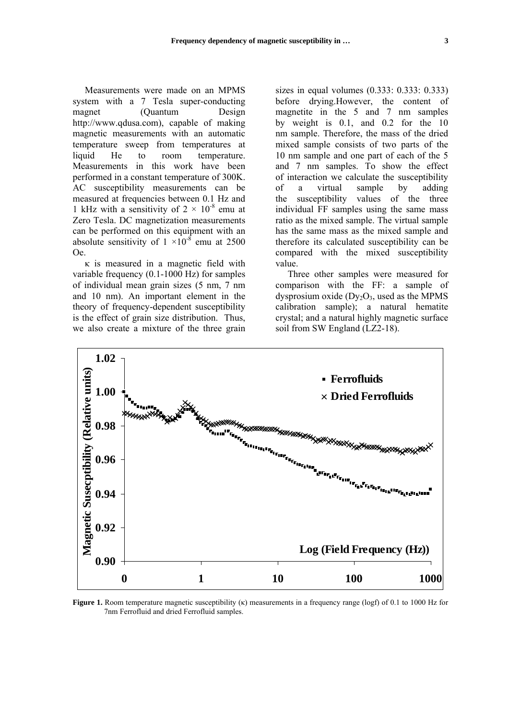Measurements were made on an MPMS system with a 7 Tesla super-conducting magnet (Quantum Design http://www.qdusa.com), capable of making magnetic measurements with an automatic temperature sweep from temperatures at liquid He to room temperature. Measurements in this work have been performed in a constant temperature of 300K. AC susceptibility measurements can be measured at frequencies between 0.1 Hz and 1 kHz with a sensitivity of  $2 \times 10^{-8}$  emu at Zero Tesla. DC magnetization measurements can be performed on this equipment with an absolute sensitivity of  $1 \times 10^{-8}$  emu at 2500 Oe.

κ is measured in a magnetic field with variable frequency (0.1-1000 Hz) for samples of individual mean grain sizes (5 nm, 7 nm and 10 nm). An important element in the theory of frequency-dependent susceptibility is the effect of grain size distribution. Thus, we also create a mixture of the three grain sizes in equal volumes (0.333: 0.333: 0.333) before drying.However, the content of magnetite in the 5 and 7 nm samples by weight is 0.1, and 0.2 for the 10 nm sample. Therefore, the mass of the dried mixed sample consists of two parts of the 10 nm sample and one part of each of the 5 and 7 nm samples. To show the effect of interaction we calculate the susceptibility of a virtual sample by adding the susceptibility values of the three individual FF samples using the same mass ratio as the mixed sample. The virtual sample has the same mass as the mixed sample and therefore its calculated susceptibility can be compared with the mixed susceptibility value.

Three other samples were measured for comparison with the FF: a sample of dysprosium oxide  $(Dy<sub>2</sub>O<sub>3</sub>$ , used as the MPMS calibration sample); a natural hematite crystal; and a natural highly magnetic surface soil from SW England (LZ2-18).



**Figure 1.** Room temperature magnetic susceptibility (κ) measurements in a frequency range (logf) of 0.1 to 1000 Hz for 7nm Ferrofluid and dried Ferrofluid samples.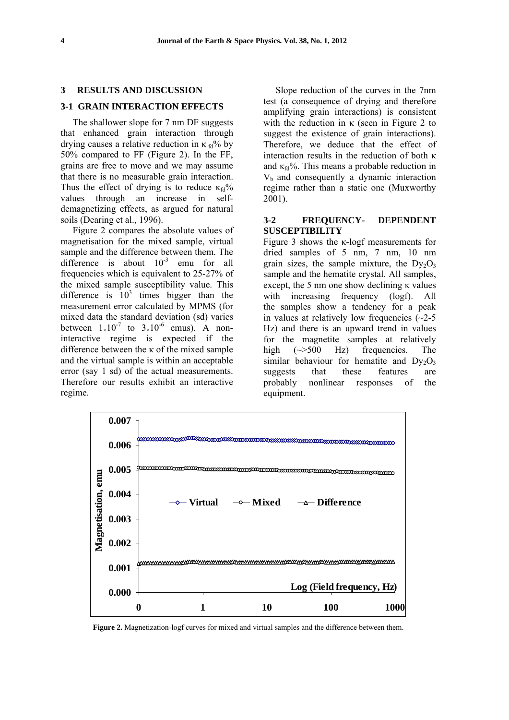### **3 RESULTS AND DISCUSSION**

## **3-1 GRAIN INTERACTION EFFECTS**

The shallower slope for 7 nm DF suggests that enhanced grain interaction through drying causes a relative reduction in  $\kappa_{\text{fd}}\%$  by 50% compared to FF (Figure 2). In the FF, grains are free to move and we may assume that there is no measurable grain interaction. Thus the effect of drying is to reduce  $\kappa_{\text{fd}}\%$ values through an increase in selfdemagnetizing effects, as argued for natural soils (Dearing et al., 1996).

Figure 2 compares the absolute values of magnetisation for the mixed sample, virtual sample and the difference between them. The difference is about  $10^{-3}$  emu for all frequencies which is equivalent to 25-27% of the mixed sample susceptibility value. This difference is  $10^3$  times bigger than the measurement error calculated by MPMS (for mixed data the standard deviation (sd) varies between  $1\times10^{-7}$  to  $3\times10^{-6}$  emus). A noninteractive regime is expected if the difference between the κ of the mixed sample and the virtual sample is within an acceptable error (say 1 sd) of the actual measurements. Therefore our results exhibit an interactive regime.

Slope reduction of the curves in the 7nm test (a consequence of drying and therefore amplifying grain interactions) is consistent with the reduction in  $\kappa$  (seen in Figure 2 to suggest the existence of grain interactions). Therefore, we deduce that the effect of interaction results in the reduction of both κ and  $\kappa_{fd}$ %. This means a probable reduction in  $V<sub>b</sub>$  and consequently a dynamic interaction regime rather than a static one (Muxworthy 2001).

## **3-2 FREQUENCY- DEPENDENT SUSCEPTIBILITY**

Figure 3 shows the κ-logf measurements for dried samples of 5 nm, 7 nm, 10 nm grain sizes, the sample mixture, the  $Dy_2O_3$ sample and the hematite crystal. All samples, except, the 5 nm one show declining κ values with increasing frequency (logf). All the samples show a tendency for a peak in values at relatively low frequencies  $(\sim 2-5)$ Hz) and there is an upward trend in values for the magnetite samples at relatively high ( $\approx$ 500 Hz) frequencies. The similar behaviour for hematite and  $Dy_2O_3$ suggests that these features are probably nonlinear responses of the equipment.



**Figure 2.** Magnetization-logf curves for mixed and virtual samples and the difference between them.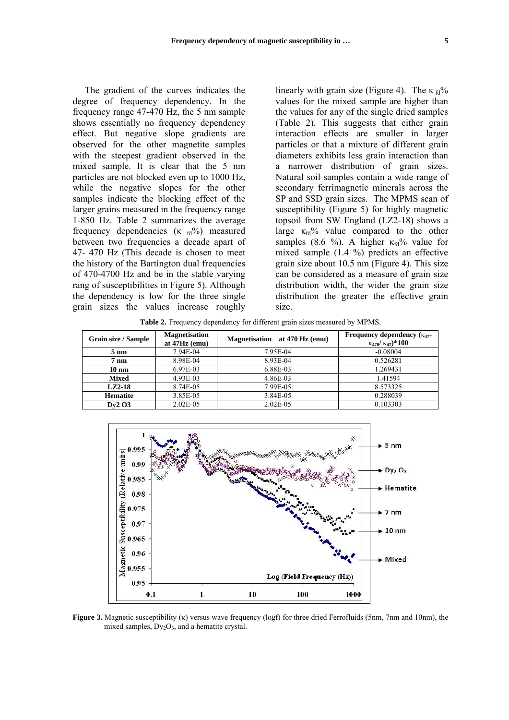The gradient of the curves indicates the degree of frequency dependency. In the frequency range 47-470 Hz, the 5 nm sample shows essentially no frequency dependency effect. But negative slope gradients are observed for the other magnetite samples with the steepest gradient observed in the mixed sample. It is clear that the 5 nm particles are not blocked even up to 1000 Hz, while the negative slopes for the other samples indicate the blocking effect of the larger grains measured in the frequency range 1-850 Hz. Table 2 summarizes the average frequency dependencies  $(\kappa_{fd} %$ <sup>2</sup>%) measured between two frequencies a decade apart of 47- 470 Hz (This decade is chosen to meet the history of the Bartington dual frequencies of 470-4700 Hz and be in the stable varying rang of susceptibilities in Figure 5). Although the dependency is low for the three single grain sizes the values increase roughly

linearly with grain size (Figure 4). The  $\kappa_{\rm fd}$ % values for the mixed sample are higher than the values for any of the single dried samples (Table 2). This suggests that either grain interaction effects are smaller in larger particles or that a mixture of different grain diameters exhibits less grain interaction than a narrower distribution of grain sizes. Natural soil samples contain a wide range of secondary ferrimagnetic minerals across the SP and SSD grain sizes. The MPMS scan of susceptibility (Figure 5) for highly magnetic topsoil from SW England (LZ2-18) shows a large  $\kappa_{fd}$ % value compared to the other samples (8.6 %). A higher  $\kappa_{fd}$ % value for mixed sample (1.4 %) predicts an effective grain size about 10.5 nm (Figure 4). This size can be considered as a measure of grain size distribution width, the wider the grain size distribution the greater the effective grain size.

**Table 2.** Frequency dependency for different grain sizes measured by MPMS.

| Grain size / Sample | <b>Magnetisation</b><br>at $47Hz$ (emu) | at 470 Hz (emu)<br><b>Magnetisation</b> | Frequency dependency $(\kappa_{47}$ -<br>$K_{470}/K_{47}$ *100 |
|---------------------|-----------------------------------------|-----------------------------------------|----------------------------------------------------------------|
| $5 \text{ nm}$      | 7.94E-04                                | 7.95E-04                                | $-0.08004$                                                     |
| $7~\mathrm{nm}$     | 8.98E-04                                | 8.93E-04                                | 0.526281                                                       |
| $10 \text{ nm}$     | 6.97E-03                                | 6.88E-03                                | 1.269431                                                       |
| <b>Mixed</b>        | 4.93E-03                                | 4.86E-03                                | 1.41594                                                        |
| $LZ2-18$            | 8.74E-05                                | 7.99E-05                                | 8.573325                                                       |
| <b>Hematite</b>     | 3.85E-05                                | 3.84E-05                                | 0.288039                                                       |
| Dv2O3               | $2.02E-05$                              | $2.02E-05$                              | 0.103303                                                       |



**Figure 3.** Magnetic susceptibility (κ) versus wave frequency (logf) for three dried Ferrofluids (5nm, 7nm and 10nm), the mixed samples,  $Dy_2O_3$ , and a hematite crystal.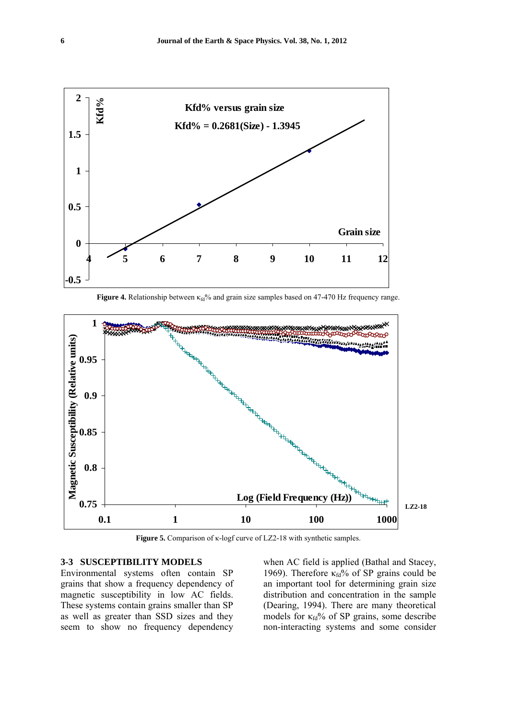

**Figure 4.** Relationship between  $\kappa_{\text{rd}}$ % and grain size samples based on 47-470 Hz frequency range.



**Figure 5.** Comparison of κ-logf curve of LZ2-18 with synthetic samples.

### **3-3 SUSCEPTIBILITY MODELS**

Environmental systems often contain SP grains that show a frequency dependency of magnetic susceptibility in low AC fields. These systems contain grains smaller than SP as well as greater than SSD sizes and they seem to show no frequency dependency

when AC field is applied (Bathal and Stacey, 1969). Therefore  $\kappa_{fd}$ % of SP grains could be an important tool for determining grain size distribution and concentration in the sample (Dearing, 1994). There are many theoretical models for  $\kappa_{fd}$ % of SP grains, some describe non-interacting systems and some consider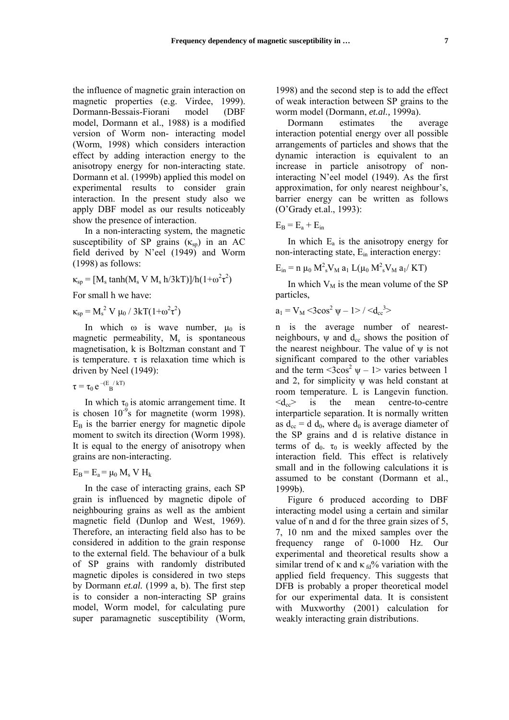the influence of magnetic grain interaction on magnetic properties (e.g. Virdee, 1999). Dormann-Bessais-Fiorani model (DBF model, Dormann et al., 1988) is a modified version of Worm non- interacting model (Worm, 1998) which considers interaction effect by adding interaction energy to the anisotropy energy for non-interacting state. Dormann et al. (1999b) applied this model on experimental results to consider grain interaction. In the present study also we apply DBF model as our results noticeably show the presence of interaction.

In a non-interacting system, the magnetic susceptibility of SP grains  $(\kappa_{\rm{sp}})$  in an AC field derived by N'eel (1949) and Worm (1998) as follows:

 $\kappa_{sp} = [M_s \tanh(M_s V M_s h/3kT)]/h(1+\omega^2\tau^2)$ 

For small h we have:

 $\kappa_{sp} = M_s^2 V \mu_0 / 3kT(1+\omega^2 \tau^2)$ 

In which  $\omega$  is wave number,  $\mu_0$  is magnetic permeability,  $M_s$  is spontaneous magnetisation, k is Boltzman constant and T is temperature.  $\tau$  is relaxation time which is driven by Neel (1949):

$$
\tau = \tau_0 e^{-\left(E_{\rm B}/kT\right)}
$$

In which  $\tau_0$  is atomic arrangement time. It is chosen  $10^{-9}$ s for magnetite (worm 1998).  $E_B$  is the barrier energy for magnetic dipole moment to switch its direction (Worm 1998). It is equal to the energy of anisotropy when grains are non-interacting.

 $E_B = E_a = \mu_0 M_s V H_k$ 

In the case of interacting grains, each SP grain is influenced by magnetic dipole of neighbouring grains as well as the ambient magnetic field (Dunlop and West, 1969). Therefore, an interacting field also has to be considered in addition to the grain response to the external field. The behaviour of a bulk of SP grains with randomly distributed magnetic dipoles is considered in two steps by Dormann *et.al.* (1999 a, b). The first step is to consider a non-interacting SP grains model, Worm model, for calculating pure super paramagnetic susceptibility (Worm,

1998) and the second step is to add the effect of weak interaction between SP grains to the worm model (Dormann, *et.al.,* 1999a).

Dormann estimates the average interaction potential energy over all possible arrangements of particles and shows that the dynamic interaction is equivalent to an increase in particle anisotropy of noninteracting N'eel model (1949). As the first approximation, for only nearest neighbour's, barrier energy can be written as follows (O'Grady et.al., 1993):

$$
E_B = E_a + E_{in}
$$

In which  $E_a$  is the anisotropy energy for non-interacting state,  $E_{in}$  interaction energy:

$$
E_{in} = n \mu_0 M^2_s V_M a_1 L(\mu_0 M^2_s V_M a_1/KT)
$$

In which  $V_M$  is the mean volume of the SP particles,

$$
a_1 = V_M \, {<} 3cos^2 \, \psi - 1 {>} \, {<} d_{cc}^{3} {>}
$$

n is the average number of nearestneighbours,  $\psi$  and  $d_{cc}$  shows the position of the nearest neighbour. The value of  $\psi$  is not significant compared to the other variables and the term  $\langle 3\cos^2 \psi - 1 \rangle$  varies between 1 and 2, for simplicity ψ was held constant at room temperature. L is Langevin function.  $\langle d_{\rm cc} \rangle$  is the mean centre-to-centre interparticle separation. It is normally written as  $d_{\rm cc} = d d_0$ , where  $d_0$  is average diameter of the SP grains and d is relative distance in terms of  $d_0$ .  $\tau_0$  is weekly affected by the interaction field. This effect is relatively small and in the following calculations it is assumed to be constant (Dormann et al., 1999b).

Figure 6 produced according to DBF interacting model using a certain and similar value of n and d for the three grain sizes of 5, 7, 10 nm and the mixed samples over the frequency range of 0-1000 Hz. Our experimental and theoretical results show a similar trend of  $\kappa$  and  $\kappa$   $\frac{1}{d}$ % variation with the applied field frequency. This suggests that DFB is probably a proper theoretical model for our experimental data. It is consistent with Muxworthy (2001) calculation for weakly interacting grain distributions.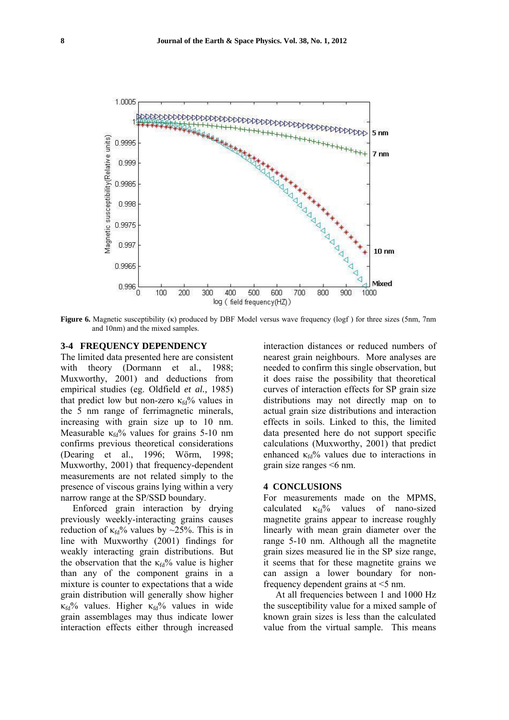

**Figure 6.** Magnetic susceptibility (κ) produced by DBF Model versus wave frequency (logf ) for three sizes (5nm, 7nm and 10nm) and the mixed samples.

### **3-4 FREQUENCY DEPENDENCY**

The limited data presented here are consistent with theory (Dormann et al., 1988; Muxworthy, 2001) and deductions from empirical studies (eg. Oldfield *et al.,* 1985) that predict low but non-zero  $\kappa_{fd}$ % values in the 5 nm range of ferrimagnetic minerals, increasing with grain size up to 10 nm. Measurable  $\kappa_{fd}$ % values for grains 5-10 nm confirms previous theoretical considerations (Dearing et al., 1996; Wörm, 1998; Muxworthy, 2001) that frequency-dependent measurements are not related simply to the presence of viscous grains lying within a very narrow range at the SP/SSD boundary.

Enforced grain interaction by drying previously weekly-interacting grains causes reduction of  $\kappa_{fd}$ % values by ~25%. This is in line with Muxworthy (2001) findings for weakly interacting grain distributions. But the observation that the  $\kappa_{fd}$ % value is higher than any of the component grains in a mixture is counter to expectations that a wide grain distribution will generally show higher  $\kappa_{\text{fd}}$ % values. Higher  $\kappa_{\text{fd}}$ % values in wide grain assemblages may thus indicate lower interaction effects either through increased

interaction distances or reduced numbers of nearest grain neighbours. More analyses are needed to confirm this single observation, but it does raise the possibility that theoretical curves of interaction effects for SP grain size distributions may not directly map on to actual grain size distributions and interaction effects in soils. Linked to this, the limited data presented here do not support specific calculations (Muxworthy, 2001) that predict enhanced  $\kappa_{fd}$ % values due to interactions in grain size ranges <6 nm.

### **4 CONCLUSIONS**

For measurements made on the MPMS, calculated  $\kappa_{fd}$ % values of nano-sized magnetite grains appear to increase roughly linearly with mean grain diameter over the range 5-10 nm. Although all the magnetite grain sizes measured lie in the SP size range, it seems that for these magnetite grains we can assign a lower boundary for nonfrequency dependent grains at <5 nm.

At all frequencies between 1 and 1000 Hz the susceptibility value for a mixed sample of known grain sizes is less than the calculated value from the virtual sample. This means